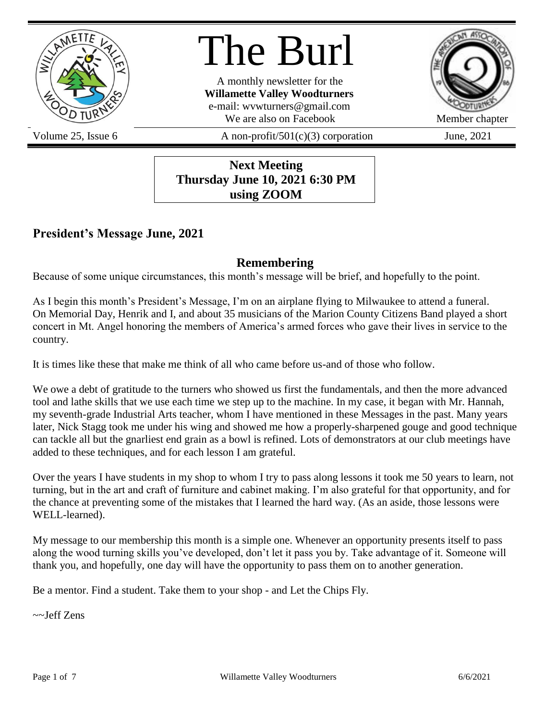

# The Burl

A monthly newsletter for the **Willamette Valley Woodturners** e-mail: wvwturners@gmail.com We are also on Facebook Member chapter



Volume 25, Issue 6  $A$  non-profit/501(c)(3) corporation June, 2021

**Next Meeting Thursday June 10, 2021 6:30 PM using ZOOM**

# **President's Message June, 2021**

# **Remembering**

Because of some unique circumstances, this month's message will be brief, and hopefully to the point.

As I begin this month's President's Message, I'm on an airplane flying to Milwaukee to attend a funeral. On Memorial Day, Henrik and I, and about 35 musicians of the Marion County Citizens Band played a short concert in Mt. Angel honoring the members of America's armed forces who gave their lives in service to the country.

It is times like these that make me think of all who came before us-and of those who follow.

We owe a debt of gratitude to the turners who showed us first the fundamentals, and then the more advanced tool and lathe skills that we use each time we step up to the machine. In my case, it began with Mr. Hannah, my seventh-grade Industrial Arts teacher, whom I have mentioned in these Messages in the past. Many years later, Nick Stagg took me under his wing and showed me how a properly-sharpened gouge and good technique can tackle all but the gnarliest end grain as a bowl is refined. Lots of demonstrators at our club meetings have added to these techniques, and for each lesson I am grateful.

Over the years I have students in my shop to whom I try to pass along lessons it took me 50 years to learn, not turning, but in the art and craft of furniture and cabinet making. I'm also grateful for that opportunity, and for the chance at preventing some of the mistakes that I learned the hard way. (As an aside, those lessons were WELL-learned).

My message to our membership this month is a simple one. Whenever an opportunity presents itself to pass along the wood turning skills you've developed, don't let it pass you by. Take advantage of it. Someone will thank you, and hopefully, one day will have the opportunity to pass them on to another generation.

Be a mentor. Find a student. Take them to your shop - and Let the Chips Fly.

~~Jeff Zens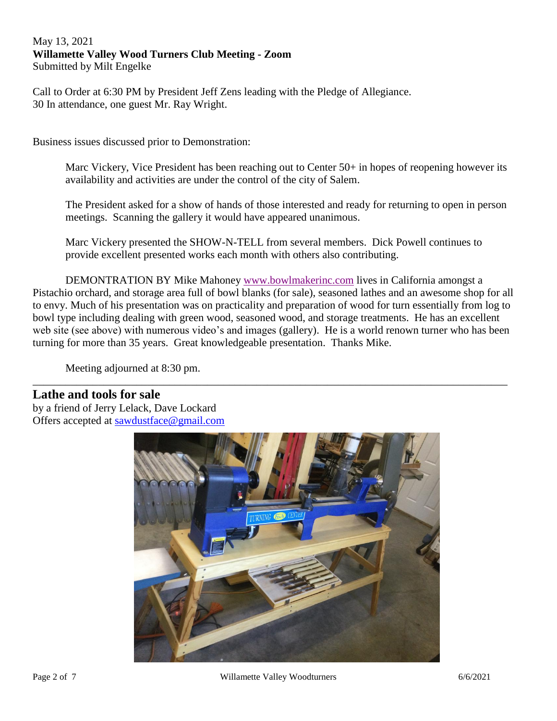#### May 13, 2021 **Willamette Valley Wood Turners Club Meeting - Zoom** Submitted by Milt Engelke

Call to Order at 6:30 PM by President Jeff Zens leading with the Pledge of Allegiance. 30 In attendance, one guest Mr. Ray Wright.

Business issues discussed prior to Demonstration:

Marc Vickery, Vice President has been reaching out to Center 50+ in hopes of reopening however its availability and activities are under the control of the city of Salem.

The President asked for a show of hands of those interested and ready for returning to open in person meetings. Scanning the gallery it would have appeared unanimous.

Marc Vickery presented the SHOW-N-TELL from several members. Dick Powell continues to provide excellent presented works each month with others also contributing.

DEMONTRATION BY Mike Mahoney [www.bowlmakerinc.com](http://www.bowlmakerinc.com/) lives in California amongst a Pistachio orchard, and storage area full of bowl blanks (for sale), seasoned lathes and an awesome shop for all to envy. Much of his presentation was on practicality and preparation of wood for turn essentially from log to bowl type including dealing with green wood, seasoned wood, and storage treatments. He has an excellent web site (see above) with numerous video's and images (gallery). He is a world renown turner who has been turning for more than 35 years. Great knowledgeable presentation. Thanks Mike.

\_\_\_\_\_\_\_\_\_\_\_\_\_\_\_\_\_\_\_\_\_\_\_\_\_\_\_\_\_\_\_\_\_\_\_\_\_\_\_\_\_\_\_\_\_\_\_\_\_\_\_\_\_\_\_\_\_\_\_\_\_\_\_\_\_\_\_\_\_\_\_\_\_\_\_\_\_\_\_\_\_\_\_\_\_\_\_

Meeting adjourned at 8:30 pm.

### **Lathe and tools for sale**

by a friend of Jerry Lelack, Dave Lockard Offers accepted at [sawdustface@gmail.com](mailto:sawdustface@gmail.com)

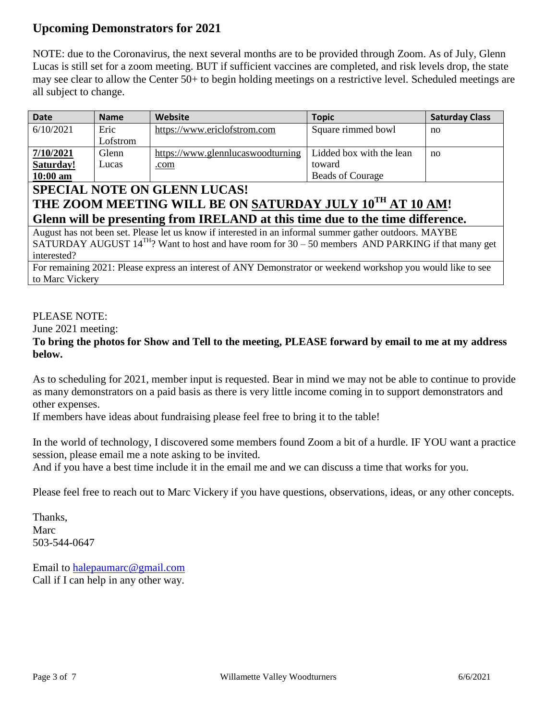# **Upcoming Demonstrators for 2021**

NOTE: due to the Coronavirus, the next several months are to be provided through Zoom. As of July, Glenn Lucas is still set for a zoom meeting. BUT if sufficient vaccines are completed, and risk levels drop, the state may see clear to allow the Center 50+ to begin holding meetings on a restrictive level. Scheduled meetings are all subject to change.

| <b>Date</b>                                                                                             | <b>Name</b> | <b>Website</b>                    | <b>Topic</b>             | <b>Saturday Class</b> |
|---------------------------------------------------------------------------------------------------------|-------------|-----------------------------------|--------------------------|-----------------------|
| 6/10/2021                                                                                               | Eric        | https://www.ericlofstrom.com      | Square rimmed bowl       | no                    |
|                                                                                                         | Lofstrom    |                                   |                          |                       |
| 7/10/2021                                                                                               | Glenn       | https://www.glennlucaswoodturning | Lidded box with the lean | no                    |
| Saturday!                                                                                               | Lucas       | .com                              | toward                   |                       |
| $10:00$ am                                                                                              |             |                                   | <b>Beads of Courage</b>  |                       |
| <b>SPECIAL NOTE ON GLENN LUCAS!</b>                                                                     |             |                                   |                          |                       |
| THE ZOOM MEETING WILL BE ON SATURDAY JULY 10TH AT 10 AM!                                                |             |                                   |                          |                       |
| Glenn will be presenting from IRELAND at this time due to the time difference.                          |             |                                   |                          |                       |
| August has not been set. Please let us know if interested in an informal summer gather outdoors. MAYBE  |             |                                   |                          |                       |
| SATURDAY AUGUST $14^{TH}$ ? Want to host and have room for 30 – 50 members AND PARKING if that many get |             |                                   |                          |                       |
| interested?                                                                                             |             |                                   |                          |                       |

For remaining 2021: Please express an interest of ANY Demonstrator or weekend workshop you would like to see to Marc Vickery

### PLEASE NOTE:

June 2021 meeting:

### **To bring the photos for Show and Tell to the meeting, PLEASE forward by email to me at my address below.**

As to scheduling for 2021, member input is requested. Bear in mind we may not be able to continue to provide as many demonstrators on a paid basis as there is very little income coming in to support demonstrators and other expenses.

If members have ideas about fundraising please feel free to bring it to the table!

In the world of technology, I discovered some members found Zoom a bit of a hurdle. IF YOU want a practice session, please email me a note asking to be invited.

And if you have a best time include it in the email me and we can discuss a time that works for you.

Please feel free to reach out to Marc Vickery if you have questions, observations, ideas, or any other concepts.

Thanks, Marc 503-544-0647

Email to [halepaumarc@gmail.com](mailto:halepaumarc@gmail.com) Call if I can help in any other way.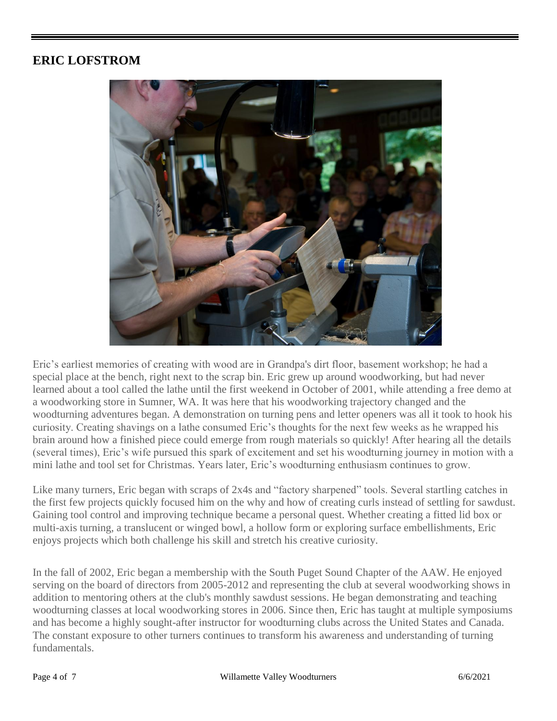# **ERIC LOFSTROM**



Eric's earliest memories of creating with wood are in Grandpa's dirt floor, basement workshop; he had a special place at the bench, right next to the scrap bin. Eric grew up around woodworking, but had never learned about a tool called the lathe until the first weekend in October of 2001, while attending a free demo at a woodworking store in Sumner, WA. It was here that his woodworking trajectory changed and the woodturning adventures began. A demonstration on turning pens and letter openers was all it took to hook his curiosity. Creating shavings on a lathe consumed Eric's thoughts for the next few weeks as he wrapped his brain around how a finished piece could emerge from rough materials so quickly! After hearing all the details (several times), Eric's wife pursued this spark of excitement and set his woodturning journey in motion with a mini lathe and tool set for Christmas. Years later, Eric's woodturning enthusiasm continues to grow.

Like many turners, Eric began with scraps of 2x4s and "factory sharpened" tools. Several startling catches in the first few projects quickly focused him on the why and how of creating curls instead of settling for sawdust. Gaining tool control and improving technique became a personal quest. Whether creating a fitted lid box or multi-axis turning, a translucent or winged bowl, a hollow form or exploring surface embellishments, Eric enjoys projects which both challenge his skill and stretch his creative curiosity.

In the fall of 2002, Eric began a membership with the South Puget Sound Chapter of the AAW. He enjoyed serving on the board of directors from 2005-2012 and representing the club at several woodworking shows in addition to mentoring others at the club's monthly sawdust sessions. He began demonstrating and teaching woodturning classes at local woodworking stores in 2006. Since then, Eric has taught at multiple symposiums and has become a highly sought-after instructor for woodturning clubs across the United States and Canada. The constant exposure to other turners continues to transform his awareness and understanding of turning fundamentals.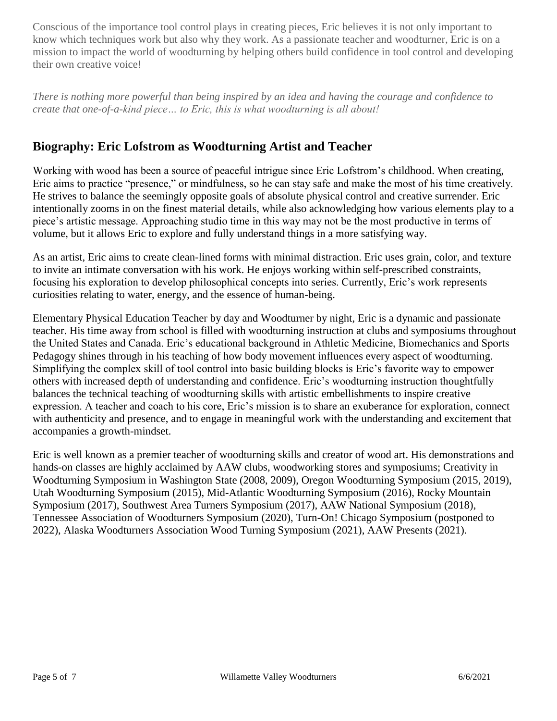Conscious of the importance tool control plays in creating pieces, Eric believes it is not only important to know which techniques work but also why they work. As a passionate teacher and woodturner, Eric is on a mission to impact the world of woodturning by helping others build confidence in tool control and developing their own creative voice!

*There is nothing more powerful than being inspired by an idea and having the courage and confidence to create that one-of-a-kind piece… to Eric, this is what woodturning is all about!*

# **Biography: Eric Lofstrom as Woodturning Artist and Teacher**

Working with wood has been a source of peaceful intrigue since Eric Lofstrom's childhood. When creating, Eric aims to practice "presence," or mindfulness, so he can stay safe and make the most of his time creatively. He strives to balance the seemingly opposite goals of absolute physical control and creative surrender. Eric intentionally zooms in on the finest material details, while also acknowledging how various elements play to a piece's artistic message. Approaching studio time in this way may not be the most productive in terms of volume, but it allows Eric to explore and fully understand things in a more satisfying way.

As an artist, Eric aims to create clean-lined forms with minimal distraction. Eric uses grain, color, and texture to invite an intimate conversation with his work. He enjoys working within self-prescribed constraints, focusing his exploration to develop philosophical concepts into series. Currently, Eric's work represents curiosities relating to water, energy, and the essence of human-being.

Elementary Physical Education Teacher by day and Woodturner by night, Eric is a dynamic and passionate teacher. His time away from school is filled with woodturning instruction at clubs and symposiums throughout the United States and Canada. Eric's educational background in Athletic Medicine, Biomechanics and Sports Pedagogy shines through in his teaching of how body movement influences every aspect of woodturning. Simplifying the complex skill of tool control into basic building blocks is Eric's favorite way to empower others with increased depth of understanding and confidence. Eric's woodturning instruction thoughtfully balances the technical teaching of woodturning skills with artistic embellishments to inspire creative expression. A teacher and coach to his core, Eric's mission is to share an exuberance for exploration, connect with authenticity and presence, and to engage in meaningful work with the understanding and excitement that accompanies a growth-mindset.

Eric is well known as a premier teacher of woodturning skills and creator of wood art. His demonstrations and hands-on classes are highly acclaimed by AAW clubs, woodworking stores and symposiums; Creativity in Woodturning Symposium in Washington State (2008, 2009), Oregon Woodturning Symposium (2015, 2019), Utah Woodturning Symposium (2015), Mid-Atlantic Woodturning Symposium (2016), Rocky Mountain Symposium (2017), Southwest Area Turners Symposium (2017), AAW National Symposium (2018), Tennessee Association of Woodturners Symposium (2020), Turn-On! Chicago Symposium (postponed to 2022), Alaska Woodturners Association Wood Turning Symposium (2021), AAW Presents (2021).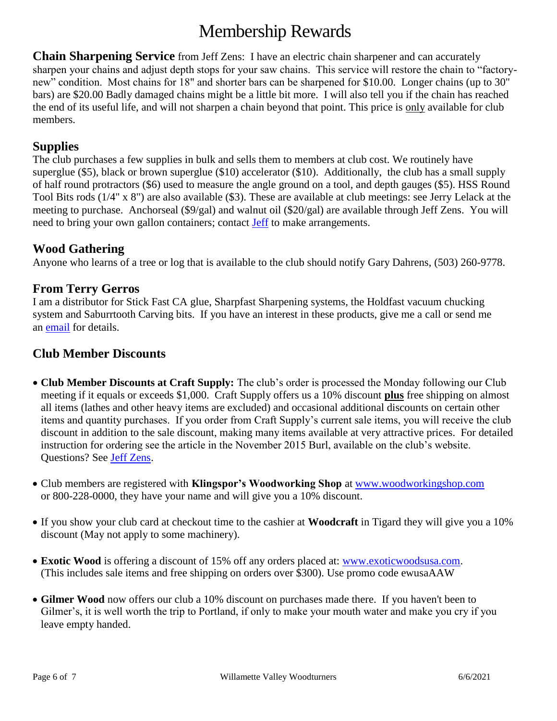# Membership Rewards

**Chain Sharpening Service** from Jeff Zens: I have an electric chain sharpener and can accurately sharpen your chains and adjust depth stops for your saw chains. This service will restore the chain to "factorynew" condition. Most chains for 18" and shorter bars can be sharpened for \$10.00. Longer chains (up to 30" bars) are \$20.00 Badly damaged chains might be a little bit more. I will also tell you if the chain has reached the end of its useful life, and will not sharpen a chain beyond that point. This price is only available for club members.

### **Supplies**

The club purchases a few supplies in bulk and sells them to members at club cost. We routinely have superglue (\$5), black or brown superglue (\$10) accelerator (\$10). Additionally, the club has a small supply of half round protractors (\$6) used to measure the angle ground on a tool, and depth gauges (\$5). HSS Round Tool Bits rods (1/4" x 8") are also available (\$3). These are available at club meetings: see Jerry Lelack at the meeting to purchase. Anchorseal (\$9/gal) and walnut oil (\$20/gal) are available through Jeff Zens. You will need to bring your own gallon containers; contact [Jeff](mailto:PrezWVW@gmail.com) to make arrangements.

# **Wood Gathering**

Anyone who learns of a tree or log that is available to the club should notify Gary Dahrens, (503) 260-9778.

## **From Terry Gerros**

I am a distributor for Stick Fast CA glue, Sharpfast Sharpening systems, the Holdfast vacuum chucking system and Saburrtooth Carving bits. If you have an interest in these products, give me a call or send me an **email** for details.

## **Club Member Discounts**

- **Club Member Discounts at Craft Supply:** The club's order is processed the Monday following our Club meeting if it equals or exceeds \$1,000. Craft Supply offers us a 10% discount **plus** free shipping on almost all items (lathes and other heavy items are excluded) and occasional additional discounts on certain other items and quantity purchases. If you order from Craft Supply's current sale items, you will receive the club discount in addition to the sale discount, making many items available at very attractive prices. For detailed instruction for ordering see the article in the November 2015 Burl, available on the club's website. Questions? See [Jeff Zens.](mailto:PrezWVW@gmail.com)
- Club members are registered with **Klingspor's Woodworking Shop** at [www.woodworkingshop.com](http://www.woodworkingshop.com/)  or 800-228-0000, they have your name and will give you a 10% discount.
- If you show your club card at checkout time to the cashier at **Woodcraft** in Tigard they will give you a 10% discount (May not apply to some machinery).
- **Exotic Wood** is offering a discount of 15% off any orders placed at: [www.exoticwoodsusa.com.](http://www.exoticwoodsusa.com/) (This includes sale items and free shipping on orders over \$300). Use promo code ewusaAAW
- **Gilmer Wood** now offers our club a 10% discount on purchases made there. If you haven't been to Gilmer's, it is well worth the trip to Portland, if only to make your mouth water and make you cry if you leave empty handed.